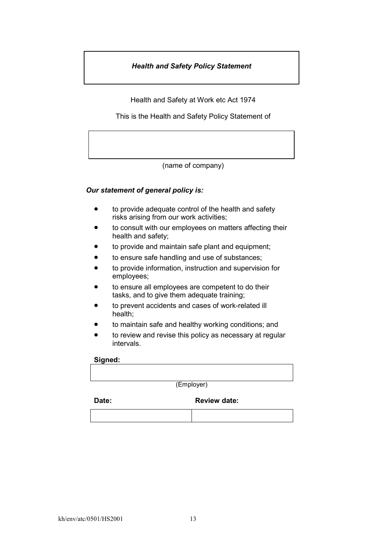## *Health and Safety Policy Statement*

Health and Safety at Work etc Act 1974

This is the Health and Safety Policy Statement of

(name of company)

## *Our statement of general policy is:*

- $\bullet$  to provide adequate control of the health and safety risks arising from our work activities;
- �� to consult with our employees on matters affecting their health and safety;
- to provide and maintain safe plant and equipment;
- to ensure safe handling and use of substances;
- to provide information, instruction and supervision for employees;
- �� to ensure all employees are competent to do their tasks, and to give them adequate training;
- to prevent accidents and cases of work-related ill health;
- to maintain safe and healthy working conditions; and
- to review and revise this policy as necessary at regular intervals.

#### **Signed:**

(Employer)

Date: **Date: Review date:**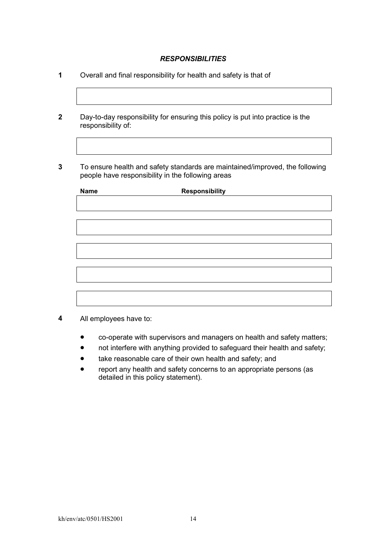## *RESPONSIBILITIES*

- **1** Overall and final responsibility for health and safety is that of
- **2** Day-to-day responsibility for ensuring this policy is put into practice is the responsibility of:
- **3** To ensure health and safety standards are maintained/improved, the following people have responsibility in the following areas

| <b>Name</b> | Responsibility |  |
|-------------|----------------|--|
|             |                |  |
|             |                |  |
|             |                |  |
|             |                |  |
|             |                |  |
|             |                |  |
|             |                |  |
|             |                |  |
|             |                |  |
|             |                |  |
|             |                |  |

- **4** All employees have to:
	- co-operate with supervisors and managers on health and safety matters;
	- not interfere with anything provided to safeguard their health and safety;
	- take reasonable care of their own health and safety; and
	- �� report any health and safety concerns to an appropriate persons (as detailed in this policy statement).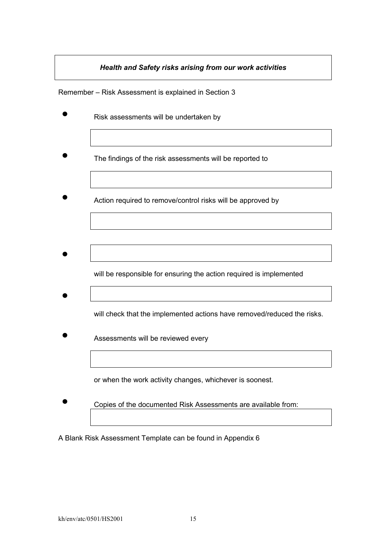# *Health and Safety risks arising from our work activities*

Remember – Risk Assessment is explained in Section 3

- �� Risk assessments will be undertaken by
- �� The findings of the risk assessments will be reported to
- Action required to remove/control risks will be approved by

- will be responsible for ensuring the action required is implemented
- will check that the implemented actions have removed/reduced the risks.
- Assessments will be reviewed every

or when the work activity changes, whichever is soonest.

Copies of the documented Risk Assessments are available from:

A Blank Risk Assessment Template can be found in Appendix 6

 $\bullet$ 

 $\bullet$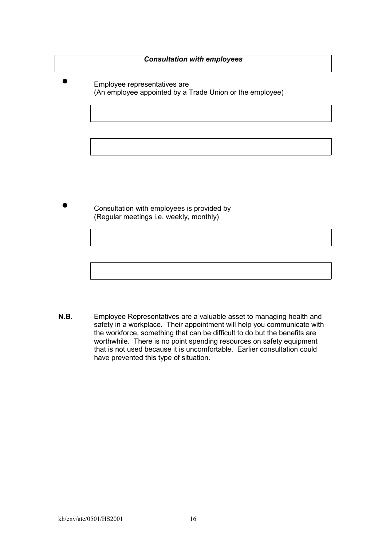## *Consultation with employees*

�� Employee representatives are (An employee appointed by a Trade Union or the employee)

�� Consultation with employees is provided by (Regular meetings i.e. weekly, monthly)

**N.B.** Employee Representatives are a valuable asset to managing health and safety in a workplace. Their appointment will help you communicate with the workforce, something that can be difficult to do but the benefits are worthwhile. There is no point spending resources on safety equipment that is not used because it is uncomfortable. Earlier consultation could have prevented this type of situation.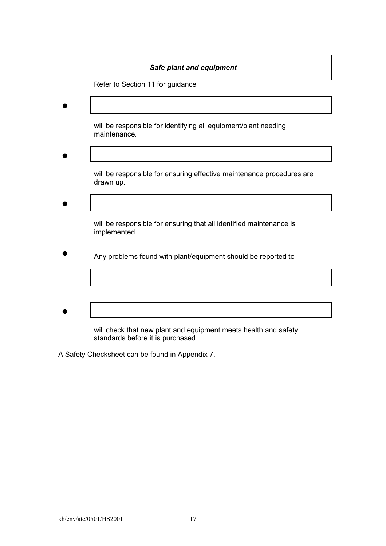# *Safe plant and equipment*

Refer to Section 11 for guidance

 $\bullet$  $\bullet$  $\bullet$  $\bullet$ will be responsible for identifying all equipment/plant needing maintenance. will be responsible for ensuring effective maintenance procedures are drawn up. will be responsible for ensuring that all identified maintenance is implemented. Any problems found with plant/equipment should be reported to

will check that new plant and equipment meets health and safety standards before it is purchased.

A Safety Checksheet can be found in Appendix 7.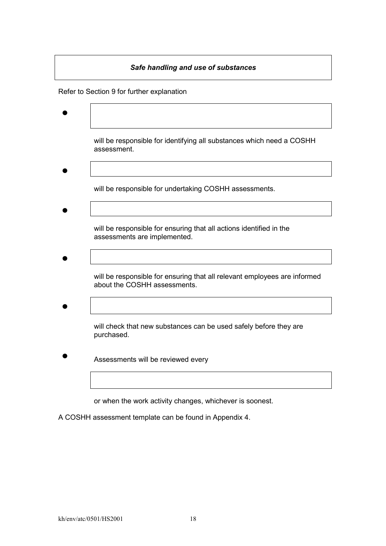# $\bullet$  $\bullet$  $\bullet$  $\bullet$  $\bullet$ *Safe handling and use of substances*  Refer to Section 9 for further explanation will be responsible for identifying all substances which need a COSHH assessment. will be responsible for undertaking COSHH assessments. will be responsible for ensuring that all actions identified in the assessments are implemented. will be responsible for ensuring that all relevant employees are informed about the COSHH assessments. will check that new substances can be used safely before they are purchased. Assessments will be reviewed every

or when the work activity changes, whichever is soonest.

A COSHH assessment template can be found in Appendix 4.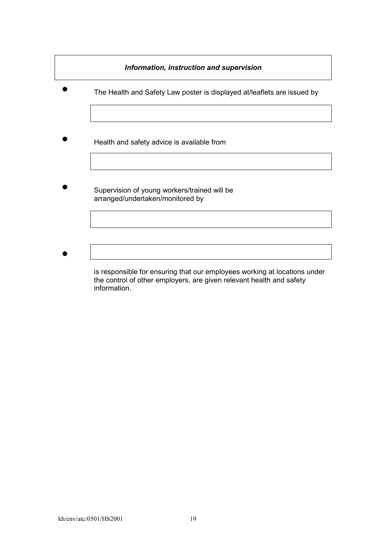## *Information, instruction and supervision*

- �� The Health and Safety Law poster is displayed at/leaflets are issued by
- Health and safety advice is available from
- Supervision of young workers/trained will be arranged/undertaken/monitored by
- $\bullet$

is responsible for ensuring that our employees working at locations under the control of other employers, are given relevant health and safety information.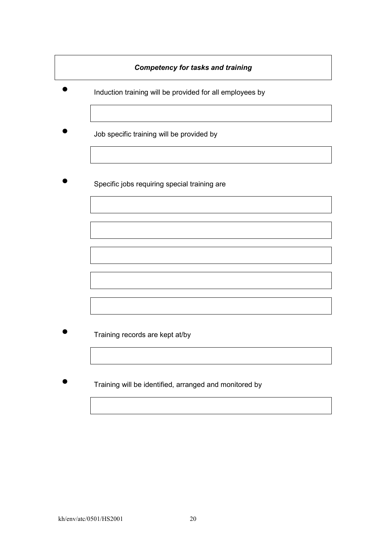## *Competency for tasks and training*

- �� Induction training will be provided for all employees by
- �� Job specific training will be provided by
- Specific jobs requiring special training are

- Training records are kept at/by
- �� Training will be identified, arranged and monitored by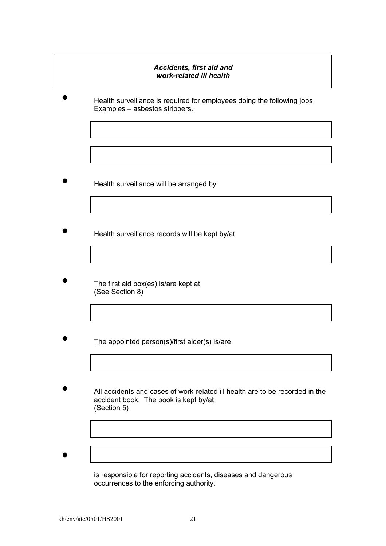## *Accidents, first aid and work-related ill health*

Health surveillance is required for employees doing the following jobs Examples – asbestos strippers.

- �� Health surveillance will be arranged by
- Health surveillance records will be kept by/at
- The first aid box(es) is/are kept at (See Section 8)
- The appointed person(s)/first aider(s) is/are
- All accidents and cases of work-related ill health are to be recorded in the accident book. The book is kept by/at (Section 5)
- $\bullet$

is responsible for reporting accidents, diseases and dangerous occurrences to the enforcing authority.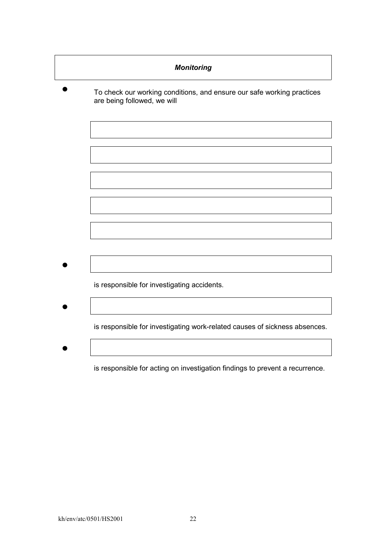| <b>Monitoring</b>                                                                                     |  |  |
|-------------------------------------------------------------------------------------------------------|--|--|
| To check our working conditions, and ensure our safe working practices<br>are being followed, we will |  |  |
|                                                                                                       |  |  |
|                                                                                                       |  |  |
|                                                                                                       |  |  |
|                                                                                                       |  |  |
|                                                                                                       |  |  |
|                                                                                                       |  |  |
|                                                                                                       |  |  |
| is responsible for investigating accidents.                                                           |  |  |
|                                                                                                       |  |  |
| is responsible for investigating work-related causes of sickness absences.                            |  |  |
|                                                                                                       |  |  |
| is responsible for acting on investigation findings to prevent a recurrence.                          |  |  |